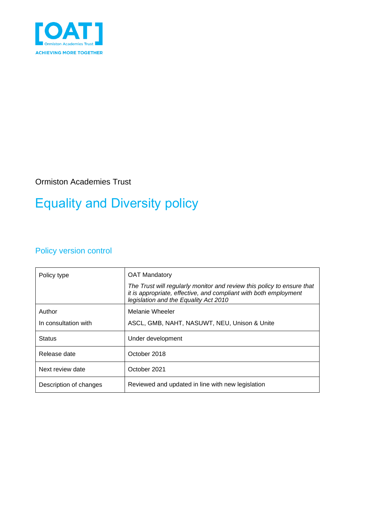

Ormiston Academies Trust

# Equality and Diversity policy

### Policy version control

| Policy type            | <b>OAT Mandatory</b>                                                                                                                                                                |
|------------------------|-------------------------------------------------------------------------------------------------------------------------------------------------------------------------------------|
|                        | The Trust will regularly monitor and review this policy to ensure that<br>it is appropriate, effective, and compliant with both employment<br>legislation and the Equality Act 2010 |
| Author                 | Melanie Wheeler                                                                                                                                                                     |
| In consultation with   | ASCL, GMB, NAHT, NASUWT, NEU, Unison & Unite                                                                                                                                        |
| <b>Status</b>          | Under development                                                                                                                                                                   |
| Release date           | October 2018                                                                                                                                                                        |
| Next review date       | October 2021                                                                                                                                                                        |
| Description of changes | Reviewed and updated in line with new legislation                                                                                                                                   |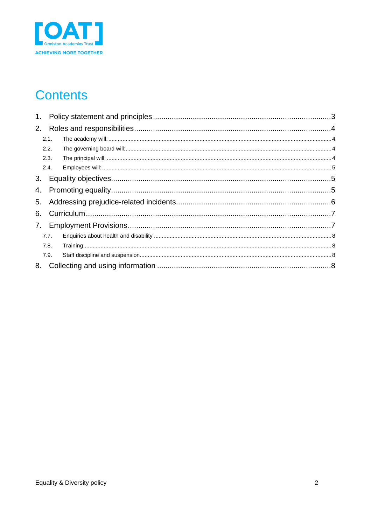

## **Contents**

| 2. |      |  |
|----|------|--|
|    | 2.1. |  |
|    | 2.2. |  |
|    | 2.3. |  |
|    | 2.4. |  |
|    |      |  |
| 4. |      |  |
| 5. |      |  |
| 6. |      |  |
|    |      |  |
|    | 7.7. |  |
|    | 7.8. |  |
|    | 7.9. |  |
|    |      |  |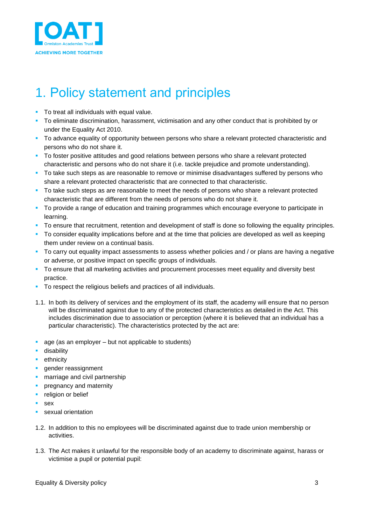

# <span id="page-2-0"></span>1. Policy statement and principles

- To treat all individuals with equal value.
- To eliminate discrimination, harassment, victimisation and any other conduct that is prohibited by or under the Equality Act 2010.
- **•** To advance equality of opportunity between persons who share a relevant protected characteristic and persons who do not share it.
- **•** To foster positive attitudes and good relations between persons who share a relevant protected characteristic and persons who do not share it (i.e. tackle prejudice and promote understanding).
- **•** To take such steps as are reasonable to remove or minimise disadvantages suffered by persons who share a relevant protected characteristic that are connected to that characteristic.
- To take such steps as are reasonable to meet the needs of persons who share a relevant protected characteristic that are different from the needs of persons who do not share it.
- **•** To provide a range of education and training programmes which encourage everyone to participate in learning.
- To ensure that recruitment, retention and development of staff is done so following the equality principles.
- To consider equality implications before and at the time that policies are developed as well as keeping them under review on a continual basis.
- **•** To carry out equality impact assessments to assess whether policies and / or plans are having a negative or adverse, or positive impact on specific groups of individuals.
- To ensure that all marketing activities and procurement processes meet equality and diversity best practice.
- To respect the religious beliefs and practices of all individuals.
- 1.1. In both its delivery of services and the employment of its staff, the academy will ensure that no person will be discriminated against due to any of the protected characteristics as detailed in the Act. This includes discrimination due to association or perception (where it is believed that an individual has a particular characteristic). The characteristics protected by the act are:
- age (as an employer but not applicable to students)
- **·** disability
- **•** ethnicity
- **·** gender reassignment
- **·** marriage and civil partnership
- **•** pregnancy and maternity
- religion or belief
- sex
- **E** sexual orientation
- 1.2. In addition to this no employees will be discriminated against due to trade union membership or activities.
- 1.3. The Act makes it unlawful for the responsible body of an academy to discriminate against, harass or victimise a pupil or potential pupil: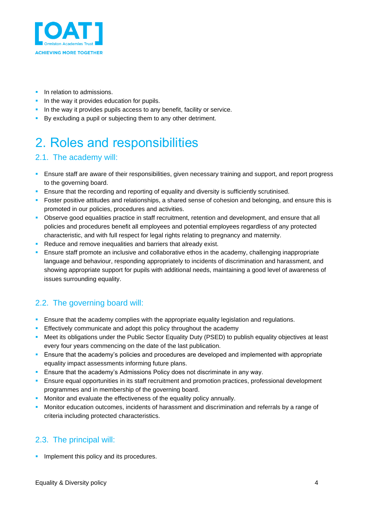

- **·** In relation to admissions.
- **•** In the way it provides education for pupils.
- **.** In the way it provides pupils access to any benefit, facility or service.
- By excluding a pupil or subjecting them to any other detriment.

# <span id="page-3-0"></span>2. Roles and responsibilities

#### <span id="page-3-1"></span>2.1. The academy will:

- **Ensure staff are aware of their responsibilities, given necessary training and support, and report progress** to the governing board.
- **E** Ensure that the recording and reporting of equality and diversity is sufficiently scrutinised.
- **•** Foster positive attitudes and relationships, a shared sense of cohesion and belonging, and ensure this is promoted in our policies, procedures and activities.
- Observe good equalities practice in staff recruitment, retention and development, and ensure that all policies and procedures benefit all employees and potential employees regardless of any protected characteristic, and with full respect for legal rights relating to pregnancy and maternity.
- Reduce and remove inequalities and barriers that already exist.
- **E** Ensure staff promote an inclusive and collaborative ethos in the academy, challenging inappropriate language and behaviour, responding appropriately to incidents of discrimination and harassment, and showing appropriate support for pupils with additional needs, maintaining a good level of awareness of issues surrounding equality.

#### <span id="page-3-2"></span>2.2. The governing board will:

- **E** Ensure that the academy complies with the appropriate equality legislation and regulations.
- **Effectively communicate and adopt this policy throughout the academy**
- Meet its obligations under the Public Sector Equality Duty (PSED) to publish equality objectives at least every four years commencing on the date of the last publication.
- **E** Ensure that the academy's policies and procedures are developed and implemented with appropriate equality impact assessments informing future plans.
- **Ensure that the academy's Admissions Policy does not discriminate in any way.**
- **E** Ensure equal opportunities in its staff recruitment and promotion practices, professional development programmes and in membership of the governing board.
- **■** Monitor and evaluate the effectiveness of the equality policy annually.
- Monitor education outcomes, incidents of harassment and discrimination and referrals by a range of criteria including protected characteristics.

#### <span id="page-3-3"></span>2.3. The principal will:

**·** Implement this policy and its procedures.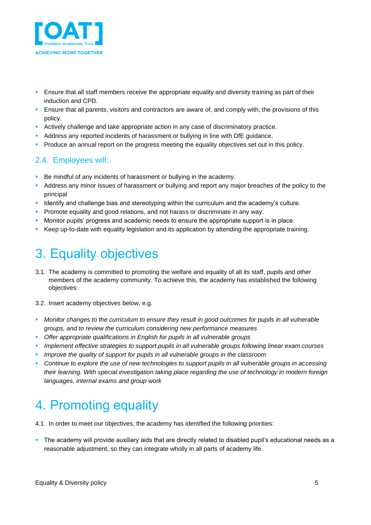

- **E** Ensure that all staff members receive the appropriate equality and diversity training as part of their induction and CPD.
- **E** Ensure that all parents, visitors and contractors are aware of, and comply with, the provisions of this policy.
- **Actively challenge and take appropriate action in any case of discriminatory practice.**
- Address any reported incidents of harassment or bullying in line with DfE guidance.
- **•** Produce an annual report on the progress meeting the equality objectives set out in this policy.

#### <span id="page-4-0"></span>2.4. Employees will:

- **EXECT** Be mindful of any incidents of harassment or bullying in the academy.
- **EXED Address any minor issues of harassment or bullying and report any major breaches of the policy to the** principal
- **Identify and challenge bias and stereotyping within the curriculum and the academy's culture.**
- **Promote equality and good relations, and not harass or discriminate in any way.**
- **•** Monitor pupils' progress and academic needs to ensure the appropriate support is in place.
- Keep up-to-date with equality legislation and its application by attending the appropriate training.

## <span id="page-4-1"></span>3. Equality objectives

- 3.1. The academy is committed to promoting the welfare and equality of all its staff, pupils and other members of the academy community. To achieve this, the academy has established the following objectives:
- 3.2. Insert academy objectives below, e.g.
- *Monitor changes to the curriculum to ensure they result in good outcomes for pupils in all vulnerable groups, and to review the curriculum considering new performance measures*
- *Offer appropriate qualifications in English for pupils in all vulnerable groups*
- *Implement effective strategies to support pupils in all vulnerable groups following linear exam courses*
- *Improve the quality of support for pupils in all vulnerable groups in the classroom*
- *Continue to explore the use of new technologies to support pupils in all vulnerable groups in accessing their learning. With special investigation taking place regarding the use of technology in modern foreign languages, internal exams and group work*

# <span id="page-4-2"></span>4. Promoting equality

4.1. In order to meet our objectives, the academy has identified the following priorities:

**•** The academy will provide auxiliary aids that are directly related to disabled pupil's educational needs as a reasonable adjustment, so they can integrate wholly in all parts of academy life.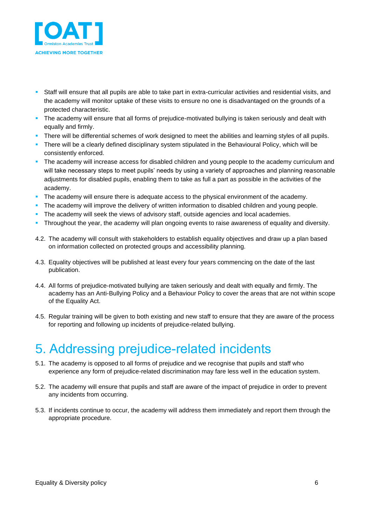

- **•** Staff will ensure that all pupils are able to take part in extra-curricular activities and residential visits, and the academy will monitor uptake of these visits to ensure no one is disadvantaged on the grounds of a protected characteristic.
- **·** The academy will ensure that all forms of prejudice-motivated bullying is taken seriously and dealt with equally and firmly.
- **•** There will be differential schemes of work designed to meet the abilities and learning styles of all pupils.
- **•** There will be a clearly defined disciplinary system stipulated in the Behavioural Policy, which will be consistently enforced.
- **•** The academy will increase access for disabled children and young people to the academy curriculum and will take necessary steps to meet pupils' needs by using a variety of approaches and planning reasonable adjustments for disabled pupils, enabling them to take as full a part as possible in the activities of the academy.
- **·** The academy will ensure there is adequate access to the physical environment of the academy.
- **•** The academy will improve the delivery of written information to disabled children and young people.
- **•** The academy will seek the views of advisory staff, outside agencies and local academies.
- Throughout the year, the academy will plan ongoing events to raise awareness of equality and diversity.
- 4.2. The academy will consult with stakeholders to establish equality objectives and draw up a plan based on information collected on protected groups and accessibility planning.
- 4.3. Equality objectives will be published at least every four years commencing on the date of the last publication.
- 4.4. All forms of prejudice-motivated bullying are taken seriously and dealt with equally and firmly. The academy has an Anti-Bullying Policy and a Behaviour Policy to cover the areas that are not within scope of the Equality Act.
- 4.5. Regular training will be given to both existing and new staff to ensure that they are aware of the process for reporting and following up incidents of prejudice-related bullying.

## <span id="page-5-0"></span>5. Addressing prejudice-related incidents

- 5.1. The academy is opposed to all forms of prejudice and we recognise that pupils and staff who experience any form of prejudice-related discrimination may fare less well in the education system.
- 5.2. The academy will ensure that pupils and staff are aware of the impact of prejudice in order to prevent any incidents from occurring.
- 5.3. If incidents continue to occur, the academy will address them immediately and report them through the appropriate procedure.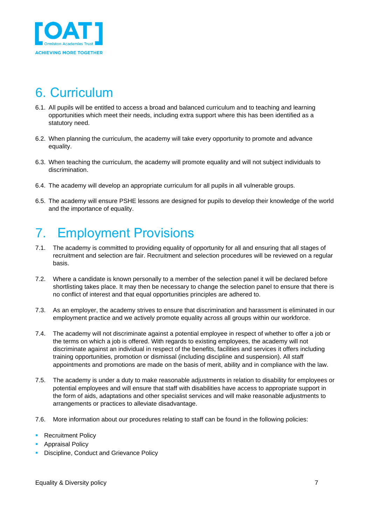

## <span id="page-6-0"></span>6. Curriculum

- 6.1. All pupils will be entitled to access a broad and balanced curriculum and to teaching and learning opportunities which meet their needs, including extra support where this has been identified as a statutory need.
- 6.2. When planning the curriculum, the academy will take every opportunity to promote and advance equality.
- 6.3. When teaching the curriculum, the academy will promote equality and will not subject individuals to discrimination.
- 6.4. The academy will develop an appropriate curriculum for all pupils in all vulnerable groups.
- 6.5. The academy will ensure PSHE lessons are designed for pupils to develop their knowledge of the world and the importance of equality.

## <span id="page-6-1"></span>7. Employment Provisions

- 7.1. The academy is committed to providing equality of opportunity for all and ensuring that all stages of recruitment and selection are fair. Recruitment and selection procedures will be reviewed on a regular basis.
- 7.2. Where a candidate is known personally to a member of the selection panel it will be declared before shortlisting takes place. It may then be necessary to change the selection panel to ensure that there is no conflict of interest and that equal opportunities principles are adhered to.
- 7.3. As an employer, the academy strives to ensure that discrimination and harassment is eliminated in our employment practice and we actively promote equality across all groups within our workforce.
- 7.4. The academy will not discriminate against a potential employee in respect of whether to offer a job or the terms on which a job is offered. With regards to existing employees, the academy will not discriminate against an individual in respect of the benefits, facilities and services it offers including training opportunities, promotion or dismissal (including discipline and suspension). All staff appointments and promotions are made on the basis of merit, ability and in compliance with the law.
- 7.5. The academy is under a duty to make reasonable adjustments in relation to disability for employees or potential employees and will ensure that staff with disabilities have access to appropriate support in the form of aids, adaptations and other specialist services and will make reasonable adjustments to arrangements or practices to alleviate disadvantage.
- 7.6. More information about our procedures relating to staff can be found in the following policies:
- **Recruitment Policy**
- Appraisal Policy
- **Discipline, Conduct and Grievance Policy**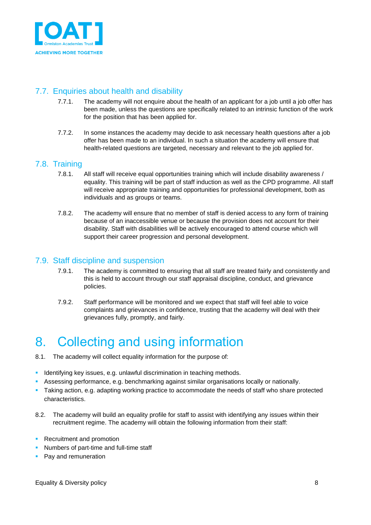

### <span id="page-7-0"></span>7.7. Enquiries about health and disability

- 7.7.1. The academy will not enquire about the health of an applicant for a job until a job offer has been made, unless the questions are specifically related to an intrinsic function of the work for the position that has been applied for.
- 7.7.2. In some instances the academy may decide to ask necessary health questions after a job offer has been made to an individual. In such a situation the academy will ensure that health-related questions are targeted, necessary and relevant to the job applied for.

#### <span id="page-7-1"></span>7.8. Training

- 7.8.1. All staff will receive equal opportunities training which will include disability awareness / equality. This training will be part of staff induction as well as the CPD programme. All staff will receive appropriate training and opportunities for professional development, both as individuals and as groups or teams.
- 7.8.2. The academy will ensure that no member of staff is denied access to any form of training because of an inaccessible venue or because the provision does not account for their disability. Staff with disabilities will be actively encouraged to attend course which will support their career progression and personal development.

#### <span id="page-7-2"></span>7.9. Staff discipline and suspension

- 7.9.1. The academy is committed to ensuring that all staff are treated fairly and consistently and this is held to account through our staff appraisal discipline, conduct, and grievance policies.
- 7.9.2. Staff performance will be monitored and we expect that staff will feel able to voice complaints and grievances in confidence, trusting that the academy will deal with their grievances fully, promptly, and fairly.

## <span id="page-7-3"></span>8. Collecting and using information

- 8.1. The academy will collect equality information for the purpose of:
- **EXECTE IDENTIFYING KEY ISSUES, e.g. unlawful discrimination in teaching methods.**
- Assessing performance, e.g. benchmarking against similar organisations locally or nationally.
- Taking action, e.g. adapting working practice to accommodate the needs of staff who share protected characteristics.
- 8.2. The academy will build an equality profile for staff to assist with identifying any issues within their recruitment regime. The academy will obtain the following information from their staff:
- Recruitment and promotion
- **Numbers of part-time and full-time staff**
- Pay and remuneration